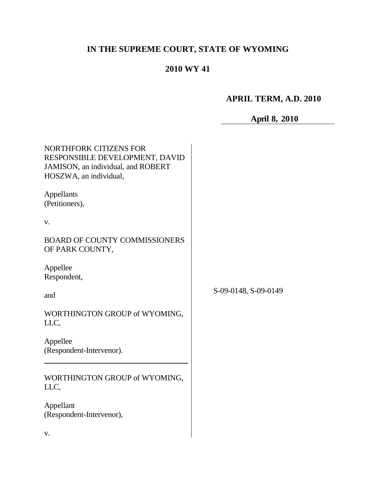# **IN THE SUPREME COURT, STATE OF WYOMING**

# **2010 WY 41**

# **APRIL TERM, A.D. 2010**

# **April 8, 2010**

| <b>NORTHFORK CITIZENS FOR</b><br>RESPONSIBLE DEVELOPMENT, DAVID<br>JAMISON, an individual, and ROBERT<br>HOSZWA, an individual, |                      |
|---------------------------------------------------------------------------------------------------------------------------------|----------------------|
| Appellants<br>(Petitioners),                                                                                                    |                      |
| V.                                                                                                                              |                      |
| <b>BOARD OF COUNTY COMMISSIONERS</b><br>OF PARK COUNTY,                                                                         |                      |
| Appellee<br>Respondent,                                                                                                         |                      |
| and                                                                                                                             | S-09-0148, S-09-0149 |
| WORTHINGTON GROUP of WYOMING,<br>LLC,                                                                                           |                      |
| Appellee<br>(Respondent-Intervenor).                                                                                            |                      |
| WORTHINGTON GROUP of WYOMING,<br>LLC,                                                                                           |                      |
| Appellant<br>(Respondent-Intervenor),                                                                                           |                      |
| V.                                                                                                                              |                      |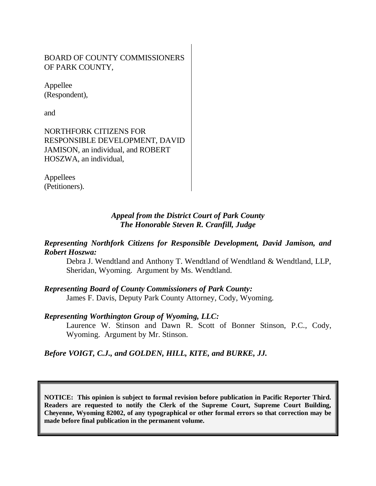# BOARD OF COUNTY COMMISSIONERS OF PARK COUNTY,

Appellee (Respondent),

and

NORTHFORK CITIZENS FOR RESPONSIBLE DEVELOPMENT, DAVID JAMISON, an individual, and ROBERT HOSZWA, an individual,

Appellees (Petitioners).

# *Appeal from the District Court of Park County The Honorable Steven R. Cranfill, Judge*

# *Representing Northfork Citizens for Responsible Development, David Jamison, and Robert Hoszwa:*

Debra J. Wendtland and Anthony T. Wendtland of Wendtland & Wendtland, LLP, Sheridan, Wyoming. Argument by Ms. Wendtland.

# *Representing Board of County Commissioners of Park County:*

James F. Davis, Deputy Park County Attorney, Cody, Wyoming.

# *Representing Worthington Group of Wyoming, LLC:*

Laurence W. Stinson and Dawn R. Scott of Bonner Stinson, P.C., Cody, Wyoming. Argument by Mr. Stinson.

# *Before VOIGT, C.J., and GOLDEN, HILL, KITE, and BURKE, JJ.*

**NOTICE: This opinion is subject to formal revision before publication in Pacific Reporter Third. Readers are requested to notify the Clerk of the Supreme Court, Supreme Court Building, Cheyenne, Wyoming 82002, of any typographical or other formal errors so that correction may be made before final publication in the permanent volume.**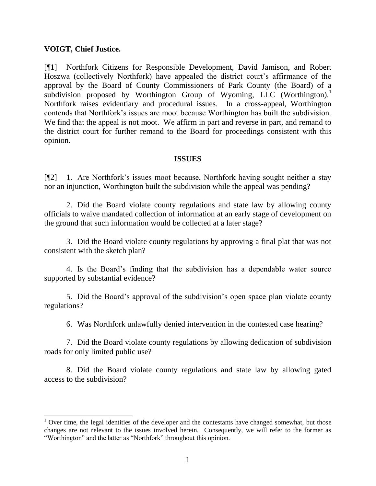#### **VOIGT, Chief Justice.**

[¶1] Northfork Citizens for Responsible Development, David Jamison, and Robert Hoszwa (collectively Northfork) have appealed the district court's affirmance of the approval by the Board of County Commissioners of Park County (the Board) of a subdivision proposed by Worthington Group of Wyoming, LLC (Worthington).<sup>1</sup> Northfork raises evidentiary and procedural issues. In a cross-appeal, Worthington contends that Northfork's issues are moot because Worthington has built the subdivision. We find that the appeal is not moot. We affirm in part and reverse in part, and remand to the district court for further remand to the Board for proceedings consistent with this opinion.

#### **ISSUES**

[¶2] 1. Are Northfork's issues moot because, Northfork having sought neither a stay nor an injunction, Worthington built the subdivision while the appeal was pending?

2. Did the Board violate county regulations and state law by allowing county officials to waive mandated collection of information at an early stage of development on the ground that such information would be collected at a later stage?

3. Did the Board violate county regulations by approving a final plat that was not consistent with the sketch plan?

4. Is the Board's finding that the subdivision has a dependable water source supported by substantial evidence?

5. Did the Board's approval of the subdivision's open space plan violate county regulations?

6. Was Northfork unlawfully denied intervention in the contested case hearing?

7. Did the Board violate county regulations by allowing dedication of subdivision roads for only limited public use?

8. Did the Board violate county regulations and state law by allowing gated access to the subdivision?

<sup>&</sup>lt;sup>1</sup> Over time, the legal identities of the developer and the contestants have changed somewhat, but those changes are not relevant to the issues involved herein. Consequently, we will refer to the former as "Worthington" and the latter as "Northfork" throughout this opinion.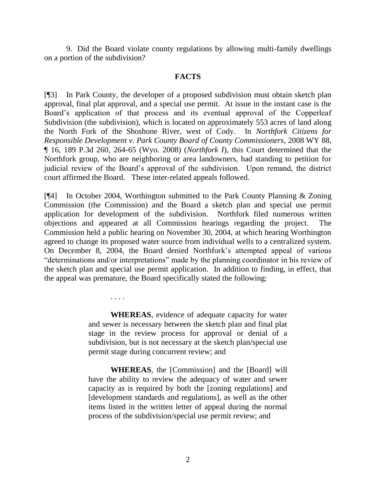9. Did the Board violate county regulations by allowing multi-family dwellings on a portion of the subdivision?

#### **FACTS**

[¶3] In Park County, the developer of a proposed subdivision must obtain sketch plan approval, final plat approval, and a special use permit. At issue in the instant case is the Board's application of that process and its eventual approval of the Copperleaf Subdivision (the subdivision), which is located on approximately 553 acres of land along the North Fork of the Shoshone River, west of Cody. In *Northfork Citizens for Responsible Development v. Park County Board of County Commissioners*, 2008 WY 88, ¶ 16, 189 P.3d 260, 264-65 (Wyo. 2008) (*Northfork I*), this Court determined that the Northfork group, who are neighboring or area landowners, had standing to petition for judicial review of the Board's approval of the subdivision. Upon remand, the district court affirmed the Board. These inter-related appeals followed.

[¶4] In October 2004, Worthington submitted to the Park County Planning & Zoning Commission (the Commission) and the Board a sketch plan and special use permit application for development of the subdivision. Northfork filed numerous written objections and appeared at all Commission hearings regarding the project. The Commission held a public hearing on November 30, 2004, at which hearing Worthington agreed to change its proposed water source from individual wells to a centralized system. On December 8, 2004, the Board denied Northfork's attempted appeal of various "determinations and/or interpretations" made by the planning coordinator in his review of the sketch plan and special use permit application. In addition to finding, in effect, that the appeal was premature, the Board specifically stated the following:

> **WHEREAS**, evidence of adequate capacity for water and sewer is necessary between the sketch plan and final plat stage in the review process for approval or denial of a subdivision, but is not necessary at the sketch plan/special use permit stage during concurrent review; and

. . . .

**WHEREAS**, the [Commission] and the [Board] will have the ability to review the adequacy of water and sewer capacity as is required by both the [zoning regulations] and [development standards and regulations], as well as the other items listed in the written letter of appeal during the normal process of the subdivision/special use permit review; and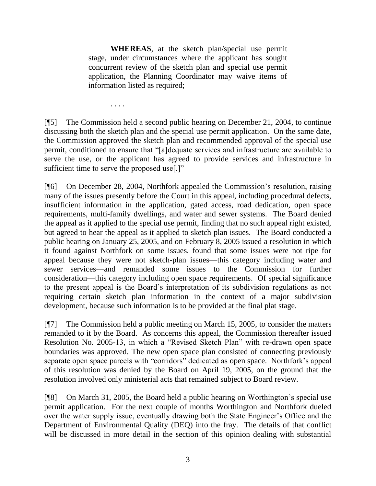**WHEREAS**, at the sketch plan/special use permit stage, under circumstances where the applicant has sought concurrent review of the sketch plan and special use permit application, the Planning Coordinator may waive items of information listed as required;

. . . .

[¶5] The Commission held a second public hearing on December 21, 2004, to continue discussing both the sketch plan and the special use permit application. On the same date, the Commission approved the sketch plan and recommended approval of the special use permit, conditioned to ensure that "[a]dequate services and infrastructure are available to serve the use, or the applicant has agreed to provide services and infrastructure in sufficient time to serve the proposed use[.]"

[¶6] On December 28, 2004, Northfork appealed the Commission's resolution, raising many of the issues presently before the Court in this appeal, including procedural defects, insufficient information in the application, gated access, road dedication, open space requirements, multi-family dwellings, and water and sewer systems. The Board denied the appeal as it applied to the special use permit, finding that no such appeal right existed, but agreed to hear the appeal as it applied to sketch plan issues. The Board conducted a public hearing on January 25, 2005, and on February 8, 2005 issued a resolution in which it found against Northfork on some issues, found that some issues were not ripe for appeal because they were not sketch-plan issues—this category including water and sewer services—and remanded some issues to the Commission for further consideration—this category including open space requirements. Of special significance to the present appeal is the Board's interpretation of its subdivision regulations as not requiring certain sketch plan information in the context of a major subdivision development, because such information is to be provided at the final plat stage.

[¶7] The Commission held a public meeting on March 15, 2005, to consider the matters remanded to it by the Board. As concerns this appeal, the Commission thereafter issued Resolution No. 2005-13, in which a "Revised Sketch Plan" with re-drawn open space boundaries was approved. The new open space plan consisted of connecting previously separate open space parcels with "corridors" dedicated as open space. Northfork's appeal of this resolution was denied by the Board on April 19, 2005, on the ground that the resolution involved only ministerial acts that remained subject to Board review.

[¶8] On March 31, 2005, the Board held a public hearing on Worthington's special use permit application. For the next couple of months Worthington and Northfork dueled over the water supply issue, eventually drawing both the State Engineer's Office and the Department of Environmental Quality (DEQ) into the fray. The details of that conflict will be discussed in more detail in the section of this opinion dealing with substantial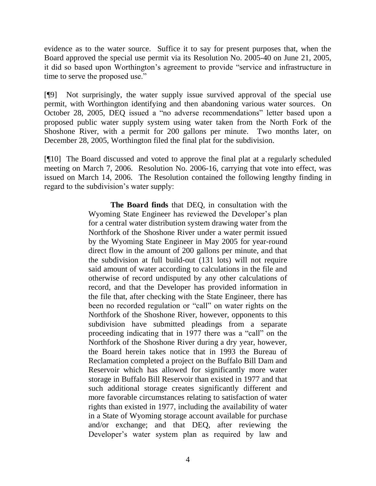evidence as to the water source. Suffice it to say for present purposes that, when the Board approved the special use permit via its Resolution No. 2005-40 on June 21, 2005, it did so based upon Worthington's agreement to provide "service and infrastructure in time to serve the proposed use."

[¶9] Not surprisingly, the water supply issue survived approval of the special use permit, with Worthington identifying and then abandoning various water sources. On October 28, 2005, DEQ issued a "no adverse recommendations" letter based upon a proposed public water supply system using water taken from the North Fork of the Shoshone River, with a permit for 200 gallons per minute. Two months later, on December 28, 2005, Worthington filed the final plat for the subdivision.

[¶10] The Board discussed and voted to approve the final plat at a regularly scheduled meeting on March 7, 2006. Resolution No. 2006-16, carrying that vote into effect, was issued on March 14, 2006. The Resolution contained the following lengthy finding in regard to the subdivision's water supply:

> **The Board finds** that DEQ, in consultation with the Wyoming State Engineer has reviewed the Developer's plan for a central water distribution system drawing water from the Northfork of the Shoshone River under a water permit issued by the Wyoming State Engineer in May 2005 for year-round direct flow in the amount of 200 gallons per minute, and that the subdivision at full build-out (131 lots) will not require said amount of water according to calculations in the file and otherwise of record undisputed by any other calculations of record, and that the Developer has provided information in the file that, after checking with the State Engineer, there has been no recorded regulation or "call" on water rights on the Northfork of the Shoshone River, however, opponents to this subdivision have submitted pleadings from a separate proceeding indicating that in 1977 there was a "call" on the Northfork of the Shoshone River during a dry year, however, the Board herein takes notice that in 1993 the Bureau of Reclamation completed a project on the Buffalo Bill Dam and Reservoir which has allowed for significantly more water storage in Buffalo Bill Reservoir than existed in 1977 and that such additional storage creates significantly different and more favorable circumstances relating to satisfaction of water rights than existed in 1977, including the availability of water in a State of Wyoming storage account available for purchase and/or exchange; and that DEQ, after reviewing the Developer's water system plan as required by law and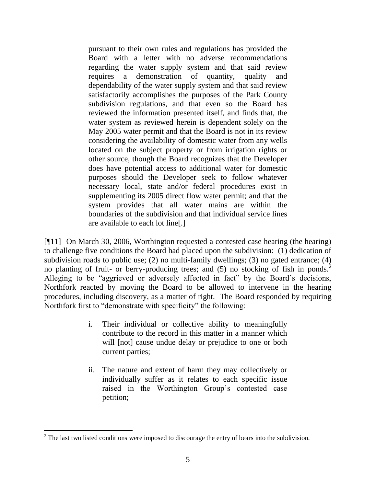pursuant to their own rules and regulations has provided the Board with a letter with no adverse recommendations regarding the water supply system and that said review requires a demonstration of quantity, quality and dependability of the water supply system and that said review satisfactorily accomplishes the purposes of the Park County subdivision regulations, and that even so the Board has reviewed the information presented itself, and finds that, the water system as reviewed herein is dependent solely on the May 2005 water permit and that the Board is not in its review considering the availability of domestic water from any wells located on the subject property or from irrigation rights or other source, though the Board recognizes that the Developer does have potential access to additional water for domestic purposes should the Developer seek to follow whatever necessary local, state and/or federal procedures exist in supplementing its 2005 direct flow water permit; and that the system provides that all water mains are within the boundaries of the subdivision and that individual service lines are available to each lot line[.]

[¶11] On March 30, 2006, Worthington requested a contested case hearing (the hearing) to challenge five conditions the Board had placed upon the subdivision: (1) dedication of subdivision roads to public use; (2) no multi-family dwellings; (3) no gated entrance; (4) no planting of fruit- or berry-producing trees; and  $(5)$  no stocking of fish in ponds.<sup>2</sup> Alleging to be "aggrieved or adversely affected in fact" by the Board's decisions, Northfork reacted by moving the Board to be allowed to intervene in the hearing procedures, including discovery, as a matter of right. The Board responded by requiring Northfork first to "demonstrate with specificity" the following:

- i. Their individual or collective ability to meaningfully contribute to the record in this matter in a manner which will [not] cause undue delay or prejudice to one or both current parties;
- ii. The nature and extent of harm they may collectively or individually suffer as it relates to each specific issue raised in the Worthington Group's contested case petition;

 $2^2$  The last two listed conditions were imposed to discourage the entry of bears into the subdivision.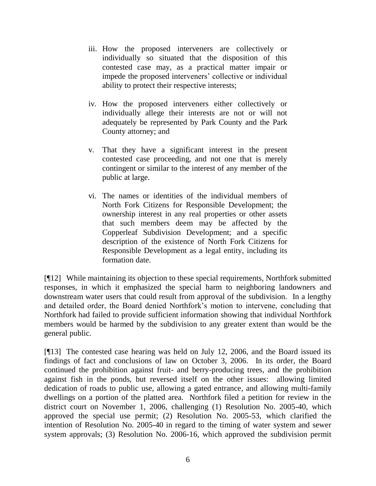- iii. How the proposed interveners are collectively or individually so situated that the disposition of this contested case may, as a practical matter impair or impede the proposed interveners' collective or individual ability to protect their respective interests;
- iv. How the proposed interveners either collectively or individually allege their interests are not or will not adequately be represented by Park County and the Park County attorney; and
- v. That they have a significant interest in the present contested case proceeding, and not one that is merely contingent or similar to the interest of any member of the public at large.
- vi. The names or identities of the individual members of North Fork Citizens for Responsible Development; the ownership interest in any real properties or other assets that such members deem may be affected by the Copperleaf Subdivision Development; and a specific description of the existence of North Fork Citizens for Responsible Development as a legal entity, including its formation date.

[¶12] While maintaining its objection to these special requirements, Northfork submitted responses, in which it emphasized the special harm to neighboring landowners and downstream water users that could result from approval of the subdivision. In a lengthy and detailed order, the Board denied Northfork's motion to intervene, concluding that Northfork had failed to provide sufficient information showing that individual Northfork members would be harmed by the subdivision to any greater extent than would be the general public.

[¶13] The contested case hearing was held on July 12, 2006, and the Board issued its findings of fact and conclusions of law on October 3, 2006. In its order, the Board continued the prohibition against fruit- and berry-producing trees, and the prohibition against fish in the ponds, but reversed itself on the other issues: allowing limited dedication of roads to public use, allowing a gated entrance, and allowing multi-family dwellings on a portion of the platted area. Northfork filed a petition for review in the district court on November 1, 2006, challenging (1) Resolution No. 2005-40, which approved the special use permit; (2) Resolution No. 2005-53, which clarified the intention of Resolution No. 2005-40 in regard to the timing of water system and sewer system approvals; (3) Resolution No. 2006-16, which approved the subdivision permit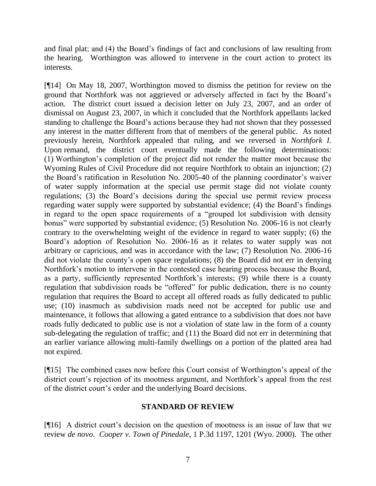and final plat; and (4) the Board's findings of fact and conclusions of law resulting from the hearing. Worthington was allowed to intervene in the court action to protect its interests.

[¶14] On May 18, 2007, Worthington moved to dismiss the petition for review on the ground that Northfork was not aggrieved or adversely affected in fact by the Board's action. The district court issued a decision letter on July 23, 2007, and an order of dismissal on August 23, 2007, in which it concluded that the Northfork appellants lacked standing to challenge the Board's actions because they had not shown that they possessed any interest in the matter different from that of members of the general public. As noted previously herein, Northfork appealed that ruling, and we reversed in *Northfork I*. Upon remand, the district court eventually made the following determinations: (1) Worthington's completion of the project did not render the matter moot because the Wyoming Rules of Civil Procedure did not require Northfork to obtain an injunction; (2) the Board's ratification in Resolution No. 2005-40 of the planning coordinator's waiver of water supply information at the special use permit stage did not violate county regulations; (3) the Board's decisions during the special use permit review process regarding water supply were supported by substantial evidence; (4) the Board's findings in regard to the open space requirements of a "grouped lot subdivision with density bonus" were supported by substantial evidence; (5) Resolution No. 2006-16 is not clearly contrary to the overwhelming weight of the evidence in regard to water supply; (6) the Board's adoption of Resolution No. 2006-16 as it relates to water supply was not arbitrary or capricious, and was in accordance with the law; (7) Resolution No. 2006-16 did not violate the county's open space regulations; (8) the Board did not err in denying Northfork's motion to intervene in the contested case hearing process because the Board, as a party, sufficiently represented Northfork's interests; (9) while there is a county regulation that subdivision roads be "offered" for public dedication, there is no county regulation that requires the Board to accept all offered roads as fully dedicated to public use; (10) inasmuch as subdivision roads need not be accepted for public use and maintenance, it follows that allowing a gated entrance to a subdivision that does not have roads fully dedicated to public use is not a violation of state law in the form of a county sub-delegating the regulation of traffic; and (11) the Board did not err in determining that an earlier variance allowing multi-family dwellings on a portion of the platted area had not expired.

[¶15] The combined cases now before this Court consist of Worthington's appeal of the district court's rejection of its mootness argument, and Northfork's appeal from the rest of the district court's order and the underlying Board decisions.

#### **STANDARD OF REVIEW**

[¶16] A district court's decision on the question of mootness is an issue of law that we review *de novo*. *Cooper v. Town of Pinedale*, 1 P.3d 1197, 1201 (Wyo. 2000). The other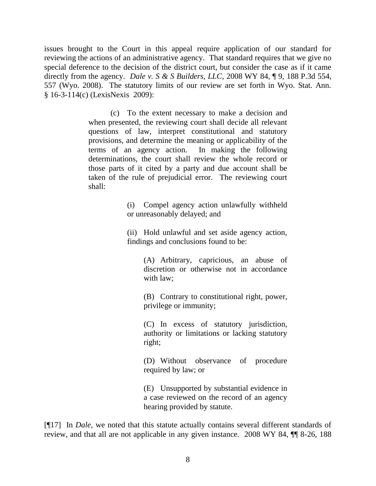issues brought to the Court in this appeal require application of our standard for reviewing the actions of an administrative agency. That standard requires that we give no special deference to the decision of the district court, but consider the case as if it came directly from the agency. *Dale v. S & S Builders, LLC*, 2008 WY 84, ¶ 9, 188 P.3d 554, 557 (Wyo. 2008). The statutory limits of our review are set forth in Wyo. Stat. Ann. § 16-3-114(c) (LexisNexis 2009):

> (c) To the extent necessary to make a decision and when presented, the reviewing court shall decide all relevant questions of law, interpret constitutional and statutory provisions, and determine the meaning or applicability of the terms of an agency action. In making the following determinations, the court shall review the whole record or those parts of it cited by a party and due account shall be taken of the rule of prejudicial error. The reviewing court shall:

> > (i) Compel agency action unlawfully withheld or unreasonably delayed; and

> > (ii) Hold unlawful and set aside agency action, findings and conclusions found to be:

> > > (A) Arbitrary, capricious, an abuse of discretion or otherwise not in accordance with law;

> > > (B) Contrary to constitutional right, power, privilege or immunity;

> > > (C) In excess of statutory jurisdiction, authority or limitations or lacking statutory right;

> > > (D) Without observance of procedure required by law; or

> > > (E) Unsupported by substantial evidence in a case reviewed on the record of an agency hearing provided by statute.

[¶17] In *Dale*, we noted that this statute actually contains several different standards of review, and that all are not applicable in any given instance. 2008 WY 84, ¶¶ 8-26, 188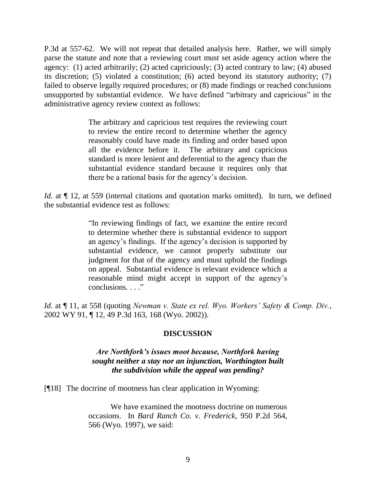P.3d at 557-62. We will not repeat that detailed analysis here. Rather, we will simply parse the statute and note that a reviewing court must set aside agency action where the agency: (1) acted arbitrarily; (2) acted capriciously; (3) acted contrary to law; (4) abused its discretion; (5) violated a constitution; (6) acted beyond its statutory authority; (7) failed to observe legally required procedures; or (8) made findings or reached conclusions unsupported by substantial evidence. We have defined "arbitrary and capricious" in the administrative agency review context as follows:

> The arbitrary and capricious test requires the reviewing court to review the entire record to determine whether the agency reasonably could have made its finding and order based upon all the evidence before it. The arbitrary and capricious standard is more lenient and deferential to the agency than the substantial evidence standard because it requires only that there be a rational basis for the agency's decision.

*Id.* at  $\P$  12, at 559 (internal citations and quotation marks omitted). In turn, we defined the substantial evidence test as follows:

> "In reviewing findings of fact, we examine the entire record to determine whether there is substantial evidence to support an agency's findings. If the agency's decision is supported by substantial evidence, we cannot properly substitute our judgment for that of the agency and must uphold the findings on appeal. Substantial evidence is relevant evidence which a reasonable mind might accept in support of the agency's conclusions. . . ."

*Id*. at ¶ 11, at 558 (quoting *Newman v. State ex rel. Wyo. Workers' Safety & Comp. Div.*, 2002 WY 91, ¶ 12, 49 P.3d 163, 168 (Wyo. 2002)).

# **DISCUSSION**

# *Are Northfork's issues moot because, Northfork having sought neither a stay nor an injunction, Worthington built the subdivision while the appeal was pending?*

[¶18] The doctrine of mootness has clear application in Wyoming:

We have examined the mootness doctrine on numerous occasions. In *Bard Ranch Co. v. Frederick*, 950 P.2d 564, 566 (Wyo. 1997), we said: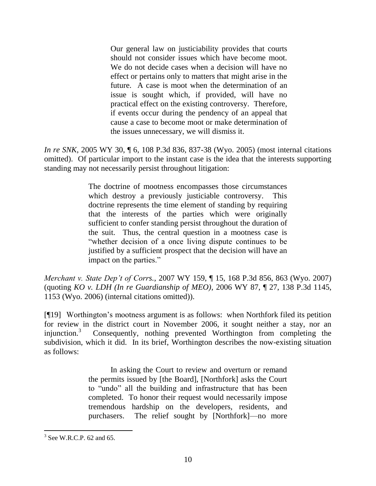Our general law on justiciability provides that courts should not consider issues which have become moot. We do not decide cases when a decision will have no effect or pertains only to matters that might arise in the future. A case is moot when the determination of an issue is sought which, if provided, will have no practical effect on the existing controversy. Therefore, if events occur during the pendency of an appeal that cause a case to become moot or make determination of the issues unnecessary, we will dismiss it.

*In re SNK*, 2005 WY 30, 108 P.3d 836, 837-38 (Wyo. 2005) (most internal citations omitted). Of particular import to the instant case is the idea that the interests supporting standing may not necessarily persist throughout litigation:

> The doctrine of mootness encompasses those circumstances which destroy a previously justiciable controversy. This doctrine represents the time element of standing by requiring that the interests of the parties which were originally sufficient to confer standing persist throughout the duration of the suit. Thus, the central question in a mootness case is ―whether decision of a once living dispute continues to be justified by a sufficient prospect that the decision will have an impact on the parties."

*Merchant v. State Dep't of Corrs.*, 2007 WY 159, ¶ 15, 168 P.3d 856, 863 (Wyo. 2007) (quoting *KO v. LDH (In re Guardianship of MEO)*, 2006 WY 87, ¶ 27, 138 P.3d 1145, 1153 (Wyo. 2006) (internal citations omitted)).

[¶19] Worthington's mootness argument is as follows: when Northfork filed its petition for review in the district court in November 2006, it sought neither a stay, nor an injunction. $3$  Consequently, nothing prevented Worthington from completing the subdivision, which it did. In its brief, Worthington describes the now-existing situation as follows:

> In asking the Court to review and overturn or remand the permits issued by [the Board], [Northfork] asks the Court to "undo" all the building and infrastructure that has been completed. To honor their request would necessarily impose tremendous hardship on the developers, residents, and purchasers. The relief sought by [Northfork]—no more

 $3$  See W.R.C.P. 62 and 65.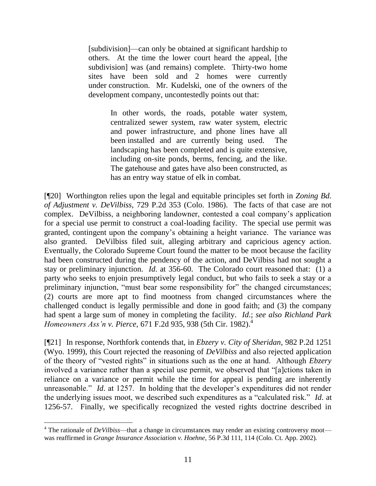[subdivision]—can only be obtained at significant hardship to others. At the time the lower court heard the appeal, [the subdivision] was (and remains) complete. Thirty-two home sites have been sold and 2 homes were currently under construction. Mr. Kudelski, one of the owners of the development company, uncontestedly points out that:

> In other words, the roads, potable water system, centralized sewer system, raw water system, electric and power infrastructure, and phone lines have all been installed and are currently being used. The landscaping has been completed and is quite extensive, including on-site ponds, berms, fencing, and the like. The gatehouse and gates have also been constructed, as has an entry way statue of elk in combat.

[¶20] Worthington relies upon the legal and equitable principles set forth in *Zoning Bd. of Adjustment v. DeVilbiss*, 729 P.2d 353 (Colo. 1986). The facts of that case are not complex. DeVilbiss, a neighboring landowner, contested a coal company's application for a special use permit to construct a coal-loading facility. The special use permit was granted, contingent upon the company's obtaining a height variance. The variance was also granted. DeVilbiss filed suit, alleging arbitrary and capricious agency action. Eventually, the Colorado Supreme Court found the matter to be moot because the facility had been constructed during the pendency of the action, and DeVilbiss had not sought a stay or preliminary injunction. *Id*. at 356-60. The Colorado court reasoned that: (1) a party who seeks to enjoin presumptively legal conduct, but who fails to seek a stay or a preliminary injunction, "must bear some responsibility for" the changed circumstances; (2) courts are more apt to find mootness from changed circumstances where the challenged conduct is legally permissible and done in good faith; and (3) the company had spent a large sum of money in completing the facility. *Id*.; *see also Richland Park Homeowners Ass'n v. Pierce*, 671 F.2d 935, 938 (5th Cir. 1982). 4

[¶21] In response, Northfork contends that, in *Ebzery v. City of Sheridan*, 982 P.2d 1251 (Wyo. 1999), this Court rejected the reasoning of *DeVilbiss* and also rejected application of the theory of "vested rights" in situations such as the one at hand. Although *Ebzery* involved a variance rather than a special use permit, we observed that "[a]ctions taken in reliance on a variance or permit while the time for appeal is pending are inherently unreasonable." *Id.* at 1257. In holding that the developer's expenditures did not render the underlying issues moot, we described such expenditures as a "calculated risk." *Id.* at 1256-57. Finally, we specifically recognized the vested rights doctrine described in

 $4$  The rationale of *DeVilbiss*—that a change in circumstances may render an existing controversy moot was reaffirmed in *Grange Insurance Association v. Hoehne*, 56 P.3d 111, 114 (Colo. Ct. App. 2002).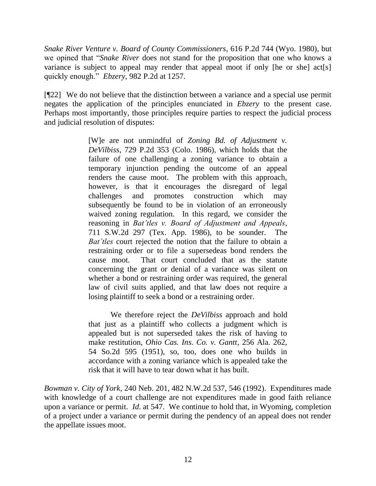*Snake River Venture v. Board of County Commissioners*, 616 P.2d 744 (Wyo. 1980), but we opined that "*Snake River* does not stand for the proposition that one who knows a variance is subject to appeal may render that appeal moot if only [he or she] act[s] quickly enough." *Ebzery*, 982 P.2d at 1257.

[¶22] We do not believe that the distinction between a variance and a special use permit negates the application of the principles enunciated in *Ebzery* to the present case. Perhaps most importantly, those principles require parties to respect the judicial process and judicial resolution of disputes:

> [W]e are not unmindful of *Zoning Bd. of Adjustment v. DeVilbiss*, 729 P.2d 353 (Colo. 1986), which holds that the failure of one challenging a zoning variance to obtain a temporary injunction pending the outcome of an appeal renders the cause moot. The problem with this approach, however, is that it encourages the disregard of legal challenges and promotes construction which may subsequently be found to be in violation of an erroneously waived zoning regulation. In this regard, we consider the reasoning in *Bat'tles v. Board of Adjustment and Appeals*, 711 S.W.2d 297 (Tex. App. 1986), to be sounder. The *Bat'tles* court rejected the notion that the failure to obtain a restraining order or to file a supersedeas bond renders the cause moot. That court concluded that as the statute concerning the grant or denial of a variance was silent on whether a bond or restraining order was required, the general law of civil suits applied, and that law does not require a losing plaintiff to seek a bond or a restraining order.

> We therefore reject the *DeVilbiss* approach and hold that just as a plaintiff who collects a judgment which is appealed but is not superseded takes the risk of having to make restitution, *Ohio Cas. Ins. Co. v. Gantt*, 256 Ala. 262, 54 So.2d 595 (1951), so, too, does one who builds in accordance with a zoning variance which is appealed take the risk that it will have to tear down what it has built.

*Bowman v. City of York*, 240 Neb. 201, 482 N.W.2d 537, 546 (1992). Expenditures made with knowledge of a court challenge are not expenditures made in good faith reliance upon a variance or permit. *Id*. at 547. We continue to hold that, in Wyoming, completion of a project under a variance or permit during the pendency of an appeal does not render the appellate issues moot.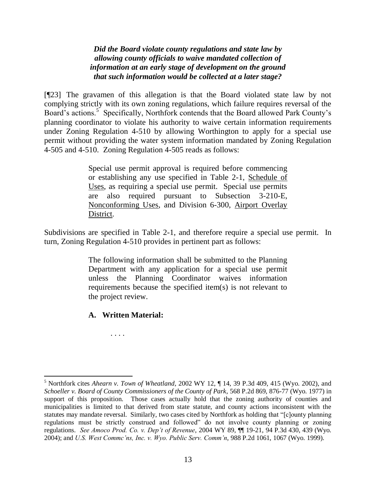*Did the Board violate county regulations and state law by allowing county officials to waive mandated collection of information at an early stage of development on the ground that such information would be collected at a later stage?*

[¶23] The gravamen of this allegation is that the Board violated state law by not complying strictly with its own zoning regulations, which failure requires reversal of the Board's actions.<sup>5</sup> Specifically, Northfork contends that the Board allowed Park County's planning coordinator to violate his authority to waive certain information requirements under Zoning Regulation 4-510 by allowing Worthington to apply for a special use permit without providing the water system information mandated by Zoning Regulation 4-505 and 4-510. Zoning Regulation 4-505 reads as follows:

> Special use permit approval is required before commencing or establishing any use specified in Table 2-1, Schedule of Uses, as requiring a special use permit. Special use permits are also required pursuant to Subsection 3-210-E, Nonconforming Uses, and Division 6-300, Airport Overlay District.

Subdivisions are specified in Table 2-1, and therefore require a special use permit. In turn, Zoning Regulation 4-510 provides in pertinent part as follows:

> The following information shall be submitted to the Planning Department with any application for a special use permit unless the Planning Coordinator waives information requirements because the specified item(s) is not relevant to the project review.

**A. Written Material:**

. . . .

<sup>5</sup> Northfork cites *Ahearn v. Town of Wheatland*, 2002 WY 12, ¶ 14, 39 P.3d 409, 415 (Wyo. 2002), and *Schoeller v. Board of County Commissioners of the County of Park*, 568 P.2d 869, 876-77 (Wyo. 1977) in support of this proposition. Those cases actually hold that the zoning authority of counties and municipalities is limited to that derived from state statute, and county actions inconsistent with the statutes may mandate reversal. Similarly, two cases cited by Northfork as holding that "[c]ounty planning regulations must be strictly construed and followed" do not involve county planning or zoning regulations. *See Amoco Prod. Co. v. Dep't of Revenue*, 2004 WY 89, ¶¶ 19-21, 94 P.3d 430, 439 (Wyo. 2004); and *U.S. West Commc'ns, Inc. v. Wyo. Public Serv. Comm'n*, 988 P.2d 1061, 1067 (Wyo. 1999).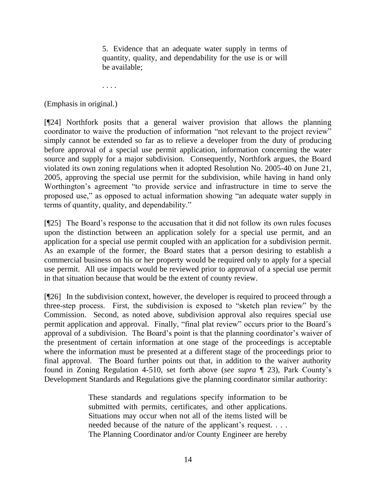5. Evidence that an adequate water supply in terms of quantity, quality, and dependability for the use is or will be available;

. . . .

(Emphasis in original.)

[¶24] Northfork posits that a general waiver provision that allows the planning coordinator to waive the production of information "not relevant to the project review" simply cannot be extended so far as to relieve a developer from the duty of producing before approval of a special use permit application, information concerning the water source and supply for a major subdivision. Consequently, Northfork argues, the Board violated its own zoning regulations when it adopted Resolution No. 2005-40 on June 21, 2005, approving the special use permit for the subdivision, while having in hand only Worthington's agreement "to provide service and infrastructure in time to serve the proposed use," as opposed to actual information showing "an adequate water supply in terms of quantity, quality, and dependability."

[¶25] The Board's response to the accusation that it did not follow its own rules focuses upon the distinction between an application solely for a special use permit, and an application for a special use permit coupled with an application for a subdivision permit. As an example of the former, the Board states that a person desiring to establish a commercial business on his or her property would be required only to apply for a special use permit. All use impacts would be reviewed prior to approval of a special use permit in that situation because that would be the extent of county review.

[¶26] In the subdivision context, however, the developer is required to proceed through a three-step process. First, the subdivision is exposed to "sketch plan review" by the Commission. Second, as noted above, subdivision approval also requires special use permit application and approval. Finally, "final plat review" occurs prior to the Board's approval of a subdivision. The Board's point is that the planning coordinator's waiver of the presentment of certain information at one stage of the proceedings is acceptable where the information must be presented at a different stage of the proceedings prior to final approval. The Board further points out that, in addition to the waiver authority found in Zoning Regulation 4-510, set forth above (*see supra* ¶ 23), Park County's Development Standards and Regulations give the planning coordinator similar authority:

> These standards and regulations specify information to be submitted with permits, certificates, and other applications. Situations may occur when not all of the items listed will be needed because of the nature of the applicant's request. . . . The Planning Coordinator and/or County Engineer are hereby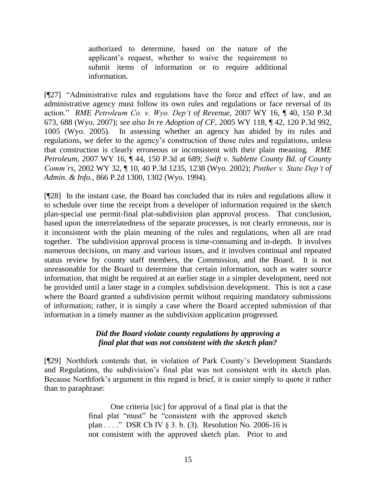authorized to determine, based on the nature of the applicant's request, whether to waive the requirement to submit items of information or to require additional information.

[¶27] "Administrative rules and regulations have the force and effect of law, and an administrative agency must follow its own rules and regulations or face reversal of its action.‖ *RME Petroleum Co. v. Wyo. Dep't of Revenue*, 2007 WY 16, ¶ 40, 150 P.3d 673, 688 (Wyo. 2007); *see also In re Adoption of CF*, 2005 WY 118, ¶ 42, 120 P.3d 992, 1005 (Wyo. 2005). In assessing whether an agency has abided by its rules and regulations, we defer to the agency's construction of those rules and regulations, unless that construction is clearly erroneous or inconsistent with their plain meaning. *RME Petroleum*, 2007 WY 16, ¶ 44, 150 P.3d at 689; *Swift v. Sublette County Bd. of County Comm'rs*, 2002 WY 32, ¶ 10, 40 P.3d 1235, 1238 (Wyo. 2002); *Pinther v. State Dep't of Admin. & Info.*, 866 P.2d 1300, 1302 (Wyo. 1994).

[¶28] In the instant case, the Board has concluded that its rules and regulations allow it to schedule over time the receipt from a developer of information required in the sketch plan-special use permit-final plat-subdivision plan approval process. That conclusion, based upon the interrelatedness of the separate processes, is not clearly erroneous, nor is it inconsistent with the plain meaning of the rules and regulations, when all are read together. The subdivision approval process is time-consuming and in-depth. It involves numerous decisions, on many and various issues, and it involves continual and repeated status review by county staff members, the Commission, and the Board. It is not unreasonable for the Board to determine that certain information, such as water source information, that might be required at an earlier stage in a simpler development, need not be provided until a later stage in a complex subdivision development. This is not a case where the Board granted a subdivision permit without requiring mandatory submissions of information; rather, it is simply a case where the Board accepted submission of that information in a timely manner as the subdivision application progressed.

### *Did the Board violate county regulations by approving a final plat that was not consistent with the sketch plan?*

[¶29] Northfork contends that, in violation of Park County's Development Standards and Regulations, the subdivision's final plat was not consistent with its sketch plan. Because Northfork's argument in this regard is brief, it is easier simply to quote it rather than to paraphrase:

> One criteria [sic] for approval of a final plat is that the final plat "must" be "consistent with the approved sketch plan . . . ." DSR Ch IV  $\S$  3. b. (3). Resolution No. 2006-16 is not consistent with the approved sketch plan. Prior to and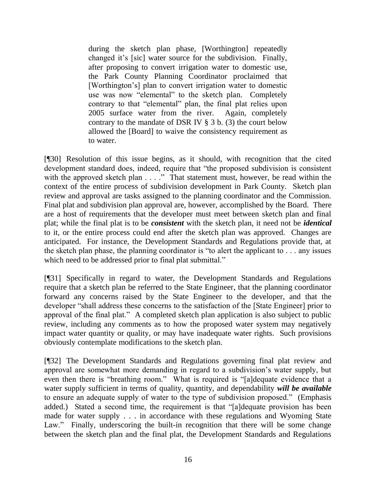during the sketch plan phase, [Worthington] repeatedly changed it's [sic] water source for the subdivision. Finally, after proposing to convert irrigation water to domestic use, the Park County Planning Coordinator proclaimed that [Worthington's] plan to convert irrigation water to domestic use was now "elemental" to the sketch plan. Completely contrary to that "elemental" plan, the final plat relies upon 2005 surface water from the river. Again, completely contrary to the mandate of DSR IV § 3 b. (3) the court below allowed the [Board] to waive the consistency requirement as to water.

[¶30] Resolution of this issue begins, as it should, with recognition that the cited development standard does, indeed, require that "the proposed subdivision is consistent with the approved sketch plan . . . ." That statement must, however, be read within the context of the entire process of subdivision development in Park County. Sketch plan review and approval are tasks assigned to the planning coordinator and the Commission. Final plat and subdivision plan approval are, however, accomplished by the Board. There are a host of requirements that the developer must meet between sketch plan and final plat; while the final plat is to be *consistent* with the sketch plan, it need not be *identical* to it, or the entire process could end after the sketch plan was approved. Changes are anticipated. For instance, the Development Standards and Regulations provide that, at the sketch plan phase, the planning coordinator is "to alert the applicant to  $\ldots$  any issues which need to be addressed prior to final plat submittal."

[¶31] Specifically in regard to water, the Development Standards and Regulations require that a sketch plan be referred to the State Engineer, that the planning coordinator forward any concerns raised by the State Engineer to the developer, and that the developer "shall address these concerns to the satisfaction of the [State Engineer] prior to approval of the final plat." A completed sketch plan application is also subject to public review, including any comments as to how the proposed water system may negatively impact water quantity or quality, or may have inadequate water rights. Such provisions obviously contemplate modifications to the sketch plan.

[¶32] The Development Standards and Regulations governing final plat review and approval are somewhat more demanding in regard to a subdivision's water supply, but even then there is "breathing room." What is required is "[a]dequate evidence that a water supply sufficient in terms of quality, quantity, and dependability *will be available* to ensure an adequate supply of water to the type of subdivision proposed." (Emphasis added.) Stated a second time, the requirement is that "[a]dequate provision has been made for water supply . . . in accordance with these regulations and Wyoming State Law." Finally, underscoring the built-in recognition that there will be some change between the sketch plan and the final plat, the Development Standards and Regulations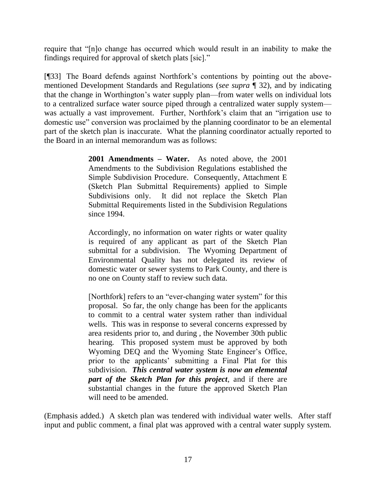require that "[n]o change has occurred which would result in an inability to make the findings required for approval of sketch plats [sic]."

[¶33] The Board defends against Northfork's contentions by pointing out the abovementioned Development Standards and Regulations (*see supra* ¶ 32), and by indicating that the change in Worthington's water supply plan—from water wells on individual lots to a centralized surface water source piped through a centralized water supply system was actually a vast improvement. Further, Northfork's claim that an "irrigation use to domestic use" conversion was proclaimed by the planning coordinator to be an elemental part of the sketch plan is inaccurate. What the planning coordinator actually reported to the Board in an internal memorandum was as follows:

> **2001 Amendments – Water.** As noted above, the 2001 Amendments to the Subdivision Regulations established the Simple Subdivision Procedure. Consequently, Attachment E (Sketch Plan Submittal Requirements) applied to Simple Subdivisions only. It did not replace the Sketch Plan Submittal Requirements listed in the Subdivision Regulations since 1994.

> Accordingly, no information on water rights or water quality is required of any applicant as part of the Sketch Plan submittal for a subdivision. The Wyoming Department of Environmental Quality has not delegated its review of domestic water or sewer systems to Park County, and there is no one on County staff to review such data.

> [Northfork] refers to an "ever-changing water system" for this proposal. So far, the only change has been for the applicants to commit to a central water system rather than individual wells. This was in response to several concerns expressed by area residents prior to, and during , the November 30th public hearing. This proposed system must be approved by both Wyoming DEQ and the Wyoming State Engineer's Office, prior to the applicants' submitting a Final Plat for this subdivision. *This central water system is now an elemental part of the Sketch Plan for this project*, and if there are substantial changes in the future the approved Sketch Plan will need to be amended.

(Emphasis added.) A sketch plan was tendered with individual water wells. After staff input and public comment, a final plat was approved with a central water supply system.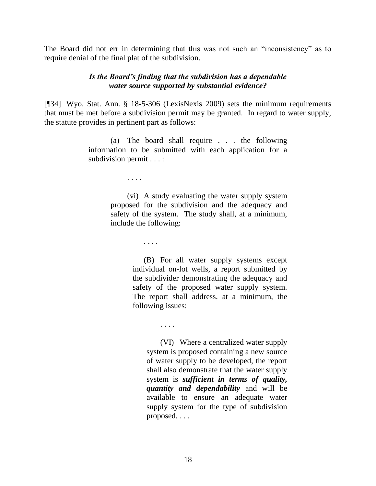The Board did not err in determining that this was not such an "inconsistency" as to require denial of the final plat of the subdivision.

## *Is the Board's finding that the subdivision has a dependable water source supported by substantial evidence?*

[¶34] Wyo. Stat. Ann. § 18-5-306 (LexisNexis 2009) sets the minimum requirements that must be met before a subdivision permit may be granted. In regard to water supply, the statute provides in pertinent part as follows:

> (a) The board shall require . . . the following information to be submitted with each application for a subdivision permit . . . :

> > . . . .

(vi) A study evaluating the water supply system proposed for the subdivision and the adequacy and safety of the system. The study shall, at a minimum, include the following:

. . . .

(B) For all water supply systems except individual on-lot wells, a report submitted by the subdivider demonstrating the adequacy and safety of the proposed water supply system. The report shall address, at a minimum, the following issues:

. . . .

(VI) Where a centralized water supply system is proposed containing a new source of water supply to be developed, the report shall also demonstrate that the water supply system is *sufficient in terms of quality, quantity and dependability* and will be available to ensure an adequate water supply system for the type of subdivision proposed. . . .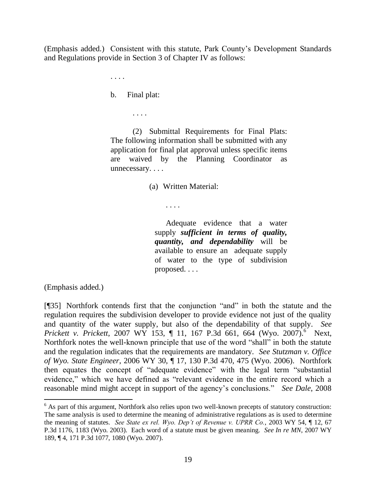(Emphasis added.) Consistent with this statute, Park County's Development Standards and Regulations provide in Section 3 of Chapter IV as follows:

. . . .

b. Final plat:

. . . .

(2) Submittal Requirements for Final Plats: The following information shall be submitted with any application for final plat approval unless specific items are waived by the Planning Coordinator as unnecessary....

(a) Written Material:

. . . .

Adequate evidence that a water supply *sufficient in terms of quality, quantity, and dependability* will be available to ensure an adequate supply of water to the type of subdivision proposed. . . .

(Emphasis added.)

 $[$ [[35] Northfork contends first that the conjunction "and" in both the statute and the regulation requires the subdivision developer to provide evidence not just of the quality and quantity of the water supply, but also of the dependability of that supply. *See Prickett v. Prickett*, 2007 WY 153, ¶ 11, 167 P.3d 661, 664 (Wyo. 2007).<sup>6</sup> Next, Northfork notes the well-known principle that use of the word "shall" in both the statute and the regulation indicates that the requirements are mandatory. *See Stutzman v. Office of Wyo. State Engineer*, 2006 WY 30, ¶ 17, 130 P.3d 470, 475 (Wyo. 2006). Northfork then equates the concept of "adequate evidence" with the legal term "substantial" evidence," which we have defined as "relevant evidence in the entire record which a reasonable mind might accept in support of the agency's conclusions." *See Dale*, 2008

 $6$  As part of this argument, Northfork also relies upon two well-known precepts of statutory construction: The same analysis is used to determine the meaning of administrative regulations as is used to determine the meaning of statutes. *See State ex rel. Wyo. Dep't of Revenue v. UPRR Co.*, 2003 WY 54, ¶ 12, 67 P.3d 1176, 1183 (Wyo. 2003). Each word of a statute must be given meaning. *See In re MN*, 2007 WY 189, ¶ 4, 171 P.3d 1077, 1080 (Wyo. 2007).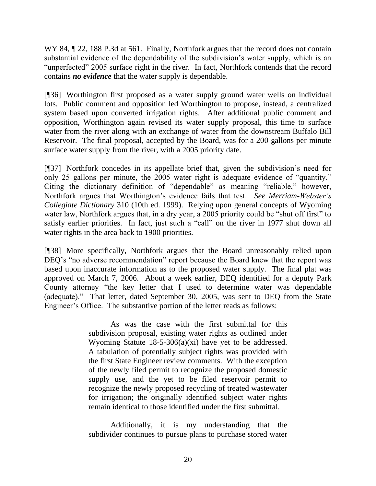WY 84,  $\sqrt{22}$ , 188 P.3d at 561. Finally, Northfork argues that the record does not contain substantial evidence of the dependability of the subdivision's water supply, which is an "unperfected" 2005 surface right in the river. In fact, Northfork contends that the record contains *no evidence* that the water supply is dependable.

[¶36] Worthington first proposed as a water supply ground water wells on individual lots. Public comment and opposition led Worthington to propose, instead, a centralized system based upon converted irrigation rights. After additional public comment and opposition, Worthington again revised its water supply proposal, this time to surface water from the river along with an exchange of water from the downstream Buffalo Bill Reservoir. The final proposal, accepted by the Board, was for a 200 gallons per minute surface water supply from the river, with a 2005 priority date.

[¶37] Northfork concedes in its appellate brief that, given the subdivision's need for only 25 gallons per minute, the 2005 water right is adequate evidence of "quantity." Citing the dictionary definition of "dependable" as meaning "reliable," however, Northfork argues that Worthington's evidence fails that test. *See Merriam-Webster's Collegiate Dictionary* 310 (10th ed. 1999). Relying upon general concepts of Wyoming water law, Northfork argues that, in a dry year, a 2005 priority could be "shut off first" to satisfy earlier priorities. In fact, just such a "call" on the river in 1977 shut down all water rights in the area back to 1900 priorities.

[¶38] More specifically, Northfork argues that the Board unreasonably relied upon DEQ's "no adverse recommendation" report because the Board knew that the report was based upon inaccurate information as to the proposed water supply. The final plat was approved on March 7, 2006. About a week earlier, DEQ identified for a deputy Park County attorney "the key letter that I used to determine water was dependable (adequate)." That letter, dated September 30, 2005, was sent to DEQ from the State Engineer's Office. The substantive portion of the letter reads as follows:

> As was the case with the first submittal for this subdivision proposal, existing water rights as outlined under Wyoming Statute 18-5-306(a)(xi) have yet to be addressed. A tabulation of potentially subject rights was provided with the first State Engineer review comments. With the exception of the newly filed permit to recognize the proposed domestic supply use, and the yet to be filed reservoir permit to recognize the newly proposed recycling of treated wastewater for irrigation; the originally identified subject water rights remain identical to those identified under the first submittal.

> Additionally, it is my understanding that the subdivider continues to pursue plans to purchase stored water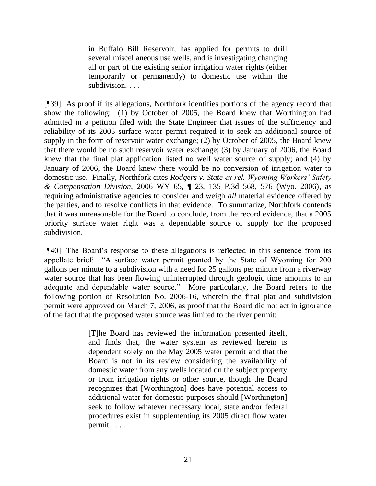in Buffalo Bill Reservoir, has applied for permits to drill several miscellaneous use wells, and is investigating changing all or part of the existing senior irrigation water rights (either temporarily or permanently) to domestic use within the subdivision...

[¶39] As proof if its allegations, Northfork identifies portions of the agency record that show the following: (1) by October of 2005, the Board knew that Worthington had admitted in a petition filed with the State Engineer that issues of the sufficiency and reliability of its 2005 surface water permit required it to seek an additional source of supply in the form of reservoir water exchange; (2) by October of 2005, the Board knew that there would be no such reservoir water exchange; (3) by January of 2006, the Board knew that the final plat application listed no well water source of supply; and (4) by January of 2006, the Board knew there would be no conversion of irrigation water to domestic use. Finally, Northfork cites *Rodgers v. State ex rel. Wyoming Workers' Safety & Compensation Division*, 2006 WY 65, ¶ 23, 135 P.3d 568, 576 (Wyo. 2006), as requiring administrative agencies to consider and weigh *all* material evidence offered by the parties, and to resolve conflicts in that evidence. To summarize, Northfork contends that it was unreasonable for the Board to conclude, from the record evidence, that a 2005 priority surface water right was a dependable source of supply for the proposed subdivision.

[¶40] The Board's response to these allegations is reflected in this sentence from its appellate brief: "A surface water permit granted by the State of Wyoming for 200 gallons per minute to a subdivision with a need for 25 gallons per minute from a riverway water source that has been flowing uninterrupted through geologic time amounts to an adequate and dependable water source." More particularly, the Board refers to the following portion of Resolution No. 2006-16, wherein the final plat and subdivision permit were approved on March 7, 2006, as proof that the Board did not act in ignorance of the fact that the proposed water source was limited to the river permit:

> [T]he Board has reviewed the information presented itself, and finds that, the water system as reviewed herein is dependent solely on the May 2005 water permit and that the Board is not in its review considering the availability of domestic water from any wells located on the subject property or from irrigation rights or other source, though the Board recognizes that [Worthington] does have potential access to additional water for domestic purposes should [Worthington] seek to follow whatever necessary local, state and/or federal procedures exist in supplementing its 2005 direct flow water permit . . . .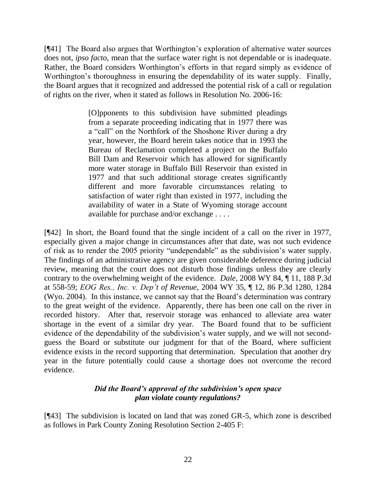[¶41] The Board also argues that Worthington's exploration of alternative water sources does not, *ipso facto*, mean that the surface water right is not dependable or is inadequate. Rather, the Board considers Worthington's efforts in that regard simply as evidence of Worthington's thoroughness in ensuring the dependability of its water supply. Finally, the Board argues that it recognized and addressed the potential risk of a call or regulation of rights on the river, when it stated as follows in Resolution No. 2006-16:

> [O]pponents to this subdivision have submitted pleadings from a separate proceeding indicating that in 1977 there was a "call" on the Northfork of the Shoshone River during a dry year, however, the Board herein takes notice that in 1993 the Bureau of Reclamation completed a project on the Buffalo Bill Dam and Reservoir which has allowed for significantly more water storage in Buffalo Bill Reservoir than existed in 1977 and that such additional storage creates significantly different and more favorable circumstances relating to satisfaction of water right than existed in 1977, including the availability of water in a State of Wyoming storage account available for purchase and/or exchange . . . .

[¶42] In short, the Board found that the single incident of a call on the river in 1977, especially given a major change in circumstances after that date, was not such evidence of risk as to render the 2005 priority "undependable" as the subdivision's water supply. The findings of an administrative agency are given considerable deference during judicial review, meaning that the court does not disturb those findings unless they are clearly contrary to the overwhelming weight of the evidence. *Dale*, 2008 WY 84, ¶ 11, 188 P.3d at 558-59; *EOG Res., Inc. v. Dep't of Revenue*, 2004 WY 35, ¶ 12, 86 P.3d 1280, 1284 (Wyo. 2004). In this instance, we cannot say that the Board's determination was contrary to the great weight of the evidence. Apparently, there has been one call on the river in recorded history. After that, reservoir storage was enhanced to alleviate area water shortage in the event of a similar dry year. The Board found that to be sufficient evidence of the dependability of the subdivision's water supply, and we will not secondguess the Board or substitute our judgment for that of the Board, where sufficient evidence exists in the record supporting that determination. Speculation that another dry year in the future potentially could cause a shortage does not overcome the record evidence.

# *Did the Board's approval of the subdivision's open space plan violate county regulations?*

[¶43] The subdivision is located on land that was zoned GR-5, which zone is described as follows in Park County Zoning Resolution Section 2-405 F: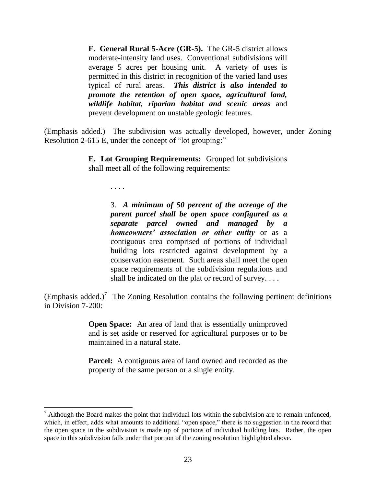**F. General Rural 5-Acre (GR-5).** The GR-5 district allows moderate-intensity land uses. Conventional subdivisions will average 5 acres per housing unit. A variety of uses is permitted in this district in recognition of the varied land uses typical of rural areas. *This district is also intended to promote the retention of open space, agricultural land, wildlife habitat, riparian habitat and scenic areas* and prevent development on unstable geologic features.

(Emphasis added.) The subdivision was actually developed, however, under Zoning Resolution 2-615 E, under the concept of "lot grouping:"

> **E. Lot Grouping Requirements:** Grouped lot subdivisions shall meet all of the following requirements:

> > . . . .

3. *A minimum of 50 percent of the acreage of the parent parcel shall be open space configured as a separate parcel owned and managed by a homeowners' association or other entity* or as a contiguous area comprised of portions of individual building lots restricted against development by a conservation easement. Such areas shall meet the open space requirements of the subdivision regulations and shall be indicated on the plat or record of survey. . . .

(Emphasis added.)<sup>7</sup> The Zoning Resolution contains the following pertinent definitions in Division 7-200:

> **Open Space:** An area of land that is essentially unimproved and is set aside or reserved for agricultural purposes or to be maintained in a natural state.

> **Parcel:** A contiguous area of land owned and recorded as the property of the same person or a single entity.

 $<sup>7</sup>$  Although the Board makes the point that individual lots within the subdivision are to remain unfenced,</sup> which, in effect, adds what amounts to additional "open space," there is no suggestion in the record that the open space in the subdivision is made up of portions of individual building lots. Rather, the open space in this subdivision falls under that portion of the zoning resolution highlighted above.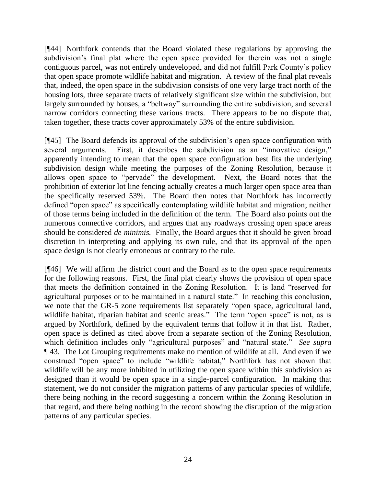[¶44] Northfork contends that the Board violated these regulations by approving the subdivision's final plat where the open space provided for therein was not a single contiguous parcel, was not entirely undeveloped, and did not fulfill Park County's policy that open space promote wildlife habitat and migration. A review of the final plat reveals that, indeed, the open space in the subdivision consists of one very large tract north of the housing lots, three separate tracts of relatively significant size within the subdivision, but largely surrounded by houses, a "beltway" surrounding the entire subdivision, and several narrow corridors connecting these various tracts. There appears to be no dispute that, taken together, these tracts cover approximately 53% of the entire subdivision.

[¶45] The Board defends its approval of the subdivision's open space configuration with several arguments. First, it describes the subdivision as an "innovative design," apparently intending to mean that the open space configuration best fits the underlying subdivision design while meeting the purposes of the Zoning Resolution, because it allows open space to "pervade" the development. Next, the Board notes that the prohibition of exterior lot line fencing actually creates a much larger open space area than the specifically reserved 53%. The Board then notes that Northfork has incorrectly defined "open space" as specifically contemplating wildlife habitat and migration; neither of those terms being included in the definition of the term. The Board also points out the numerous connective corridors, and argues that any roadways crossing open space areas should be considered *de minimis.* Finally, the Board argues that it should be given broad discretion in interpreting and applying its own rule, and that its approval of the open space design is not clearly erroneous or contrary to the rule.

[¶46] We will affirm the district court and the Board as to the open space requirements for the following reasons. First, the final plat clearly shows the provision of open space that meets the definition contained in the Zoning Resolution. It is land "reserved for agricultural purposes or to be maintained in a natural state." In reaching this conclusion, we note that the GR-5 zone requirements list separately "open space, agricultural land, wildlife habitat, riparian habitat and scenic areas." The term "open space" is not, as is argued by Northfork, defined by the equivalent terms that follow it in that list. Rather, open space is defined as cited above from a separate section of the Zoning Resolution, which definition includes only "agricultural purposes" and "natural state." See supra ¶ 43. The Lot Grouping requirements make no mention of wildlife at all. And even if we construed "open space" to include "wildlife habitat," Northfork has not shown that wildlife will be any more inhibited in utilizing the open space within this subdivision as designed than it would be open space in a single-parcel configuration. In making that statement, we do not consider the migration patterns of any particular species of wildlife, there being nothing in the record suggesting a concern within the Zoning Resolution in that regard, and there being nothing in the record showing the disruption of the migration patterns of any particular species.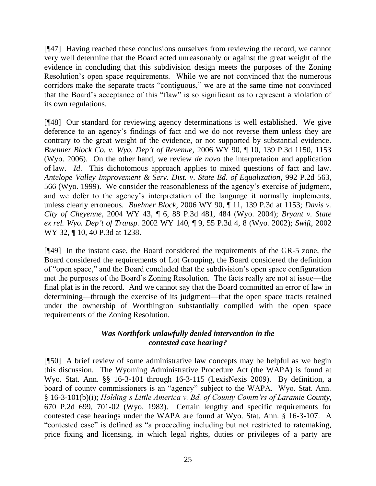[¶47] Having reached these conclusions ourselves from reviewing the record, we cannot very well determine that the Board acted unreasonably or against the great weight of the evidence in concluding that this subdivision design meets the purposes of the Zoning Resolution's open space requirements. While we are not convinced that the numerous corridors make the separate tracts "contiguous," we are at the same time not convinced that the Board's acceptance of this "flaw" is so significant as to represent a violation of its own regulations.

[¶48] Our standard for reviewing agency determinations is well established. We give deference to an agency's findings of fact and we do not reverse them unless they are contrary to the great weight of the evidence, or not supported by substantial evidence. *Buehner Block Co. v. Wyo. Dep't of Revenue*, 2006 WY 90, ¶ 10, 139 P.3d 1150, 1153 (Wyo. 2006). On the other hand, we review *de novo* the interpretation and application of law. *Id*. This dichotomous approach applies to mixed questions of fact and law. *Antelope Valley Improvement & Serv. Dist. v. State Bd. of Equalization*, 992 P.2d 563, 566 (Wyo. 1999). We consider the reasonableness of the agency's exercise of judgment, and we defer to the agency's interpretation of the language it normally implements, unless clearly erroneous. *Buehner Block*, 2006 WY 90, ¶ 11, 139 P.3d at 1153; *Davis v. City of Cheyenne*, 2004 WY 43, ¶ 6, 88 P.3d 481, 484 (Wyo. 2004); *Bryant v. State ex rel. Wyo. Dep't of Transp.* 2002 WY 140, ¶ 9, 55 P.3d 4, 8 (Wyo. 2002); *Swift*, 2002 WY 32, ¶ 10, 40 P.3d at 1238.

[¶49] In the instant case, the Board considered the requirements of the GR-5 zone, the Board considered the requirements of Lot Grouping, the Board considered the definition of "open space," and the Board concluded that the subdivision's open space configuration met the purposes of the Board's Zoning Resolution. The facts really are not at issue—the final plat is in the record. And we cannot say that the Board committed an error of law in determining—through the exercise of its judgment—that the open space tracts retained under the ownership of Worthington substantially complied with the open space requirements of the Zoning Resolution.

# *Was Northfork unlawfully denied intervention in the contested case hearing?*

[¶50] A brief review of some administrative law concepts may be helpful as we begin this discussion. The Wyoming Administrative Procedure Act (the WAPA) is found at Wyo. Stat. Ann. §§ 16-3-101 through 16-3-115 (LexisNexis 2009). By definition, a board of county commissioners is an "agency" subject to the WAPA. Wyo. Stat. Ann. § 16-3-101(b)(i); *Holding's Little America v. Bd. of County Comm'rs of Laramie County*, 670 P.2d 699, 701-02 (Wyo. 1983). Certain lengthy and specific requirements for contested case hearings under the WAPA are found at Wyo. Stat. Ann. § 16-3-107. A "contested case" is defined as "a proceeding including but not restricted to ratemaking, price fixing and licensing, in which legal rights, duties or privileges of a party are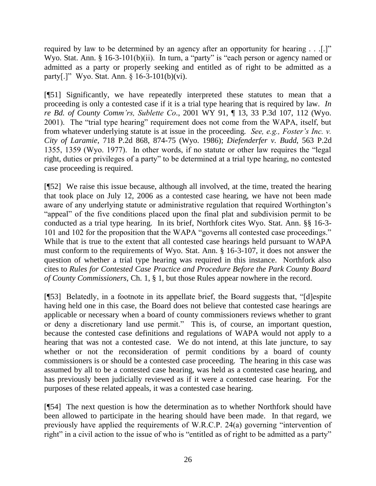required by law to be determined by an agency after an opportunity for hearing . . .[.]" Wyo. Stat. Ann. § 16-3-101(b)(ii). In turn, a "party" is "each person or agency named or admitted as a party or properly seeking and entitled as of right to be admitted as a party[.]" Wyo. Stat. Ann.  $§ 16-3-101(b)(vi)$ .

[¶51] Significantly, we have repeatedly interpreted these statutes to mean that a proceeding is only a contested case if it is a trial type hearing that is required by law. *In re Bd. of County Comm'rs, Sublette Co*., 2001 WY 91, ¶ 13, 33 P.3d 107, 112 (Wyo. 2001). The "trial type hearing" requirement does not come from the WAPA, itself, but from whatever underlying statute is at issue in the proceeding. *See, e.g., Foster's Inc. v. City of Laramie*, 718 P.2d 868, 874-75 (Wyo. 1986); *Diefenderfer v. Budd*, 563 P.2d 1355, 1359 (Wyo. 1977). In other words, if no statute or other law requires the  $"legal$ right, duties or privileges of a party" to be determined at a trial type hearing, no contested case proceeding is required.

[¶52] We raise this issue because, although all involved, at the time, treated the hearing that took place on July 12, 2006 as a contested case hearing, we have not been made aware of any underlying statute or administrative regulation that required Worthington's "appeal" of the five conditions placed upon the final plat and subdivision permit to be conducted as a trial type hearing. In its brief, Northfork cites Wyo. Stat. Ann. §§ 16-3- 101 and 102 for the proposition that the WAPA "governs all contested case proceedings." While that is true to the extent that all contested case hearings held pursuant to WAPA must conform to the requirements of Wyo. Stat. Ann. § 16-3-107, it does not answer the question of whether a trial type hearing was required in this instance. Northfork also cites to *Rules for Contested Case Practice and Procedure Before the Park County Board of County Commissioners*, Ch. 1, § 1, but those Rules appear nowhere in the record.

[¶53] Belatedly, in a footnote in its appellate brief, the Board suggests that, "[d]espite having held one in this case, the Board does not believe that contested case hearings are applicable or necessary when a board of county commissioners reviews whether to grant or deny a discretionary land use permit." This is, of course, an important question, because the contested case definitions and regulations of WAPA would not apply to a hearing that was not a contested case. We do not intend, at this late juncture, to say whether or not the reconsideration of permit conditions by a board of county commissioners is or should be a contested case proceeding. The hearing in this case was assumed by all to be a contested case hearing, was held as a contested case hearing, and has previously been judicially reviewed as if it were a contested case hearing. For the purposes of these related appeals, it was a contested case hearing.

[¶54] The next question is how the determination as to whether Northfork should have been allowed to participate in the hearing should have been made. In that regard, we previously have applied the requirements of W.R.C.P. 24(a) governing "intervention of right" in a civil action to the issue of who is "entitled as of right to be admitted as a party"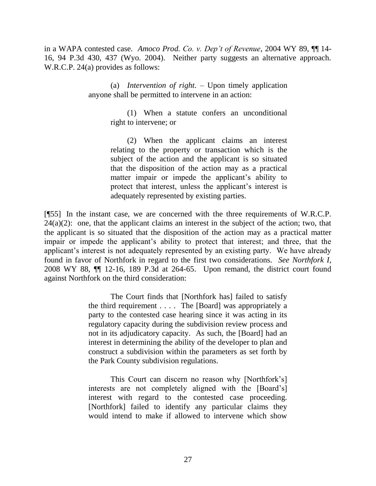in a WAPA contested case. *Amoco Prod. Co. v. Dep't of Revenue*, 2004 WY 89, ¶¶ 14- 16, 94 P.3d 430, 437 (Wyo. 2004). Neither party suggests an alternative approach. W.R.C.P. 24(a) provides as follows:

> (a) *Intervention of right*. – Upon timely application anyone shall be permitted to intervene in an action:

> > (1) When a statute confers an unconditional right to intervene; or

> > (2) When the applicant claims an interest relating to the property or transaction which is the subject of the action and the applicant is so situated that the disposition of the action may as a practical matter impair or impede the applicant's ability to protect that interest, unless the applicant's interest is adequately represented by existing parties.

[¶55] In the instant case, we are concerned with the three requirements of W.R.C.P.  $24(a)(2)$ : one, that the applicant claims an interest in the subject of the action; two, that the applicant is so situated that the disposition of the action may as a practical matter impair or impede the applicant's ability to protect that interest; and three, that the applicant's interest is not adequately represented by an existing party. We have already found in favor of Northfork in regard to the first two considerations. *See Northfork I*, 2008 WY 88, ¶¶ 12-16, 189 P.3d at 264-65. Upon remand, the district court found against Northfork on the third consideration:

> The Court finds that [Northfork has] failed to satisfy the third requirement . . . . The [Board] was appropriately a party to the contested case hearing since it was acting in its regulatory capacity during the subdivision review process and not in its adjudicatory capacity. As such, the [Board] had an interest in determining the ability of the developer to plan and construct a subdivision within the parameters as set forth by the Park County subdivision regulations.

> This Court can discern no reason why [Northfork's] interests are not completely aligned with the [Board's] interest with regard to the contested case proceeding. [Northfork] failed to identify any particular claims they would intend to make if allowed to intervene which show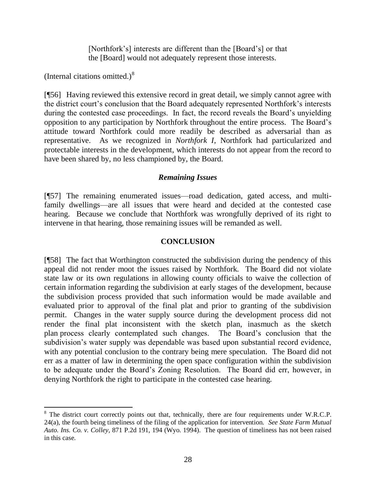[Northfork's] interests are different than the [Board's] or that the [Board] would not adequately represent those interests.

(Internal citations omitted.) $8$ 

[¶56] Having reviewed this extensive record in great detail, we simply cannot agree with the district court's conclusion that the Board adequately represented Northfork's interests during the contested case proceedings. In fact, the record reveals the Board's unyielding opposition to any participation by Northfork throughout the entire process. The Board's attitude toward Northfork could more readily be described as adversarial than as representative. As we recognized in *Northfork I*, Northfork had particularized and protectable interests in the development, which interests do not appear from the record to have been shared by, no less championed by, the Board.

### *Remaining Issues*

[¶57] The remaining enumerated issues—road dedication, gated access, and multifamily dwellings—are all issues that were heard and decided at the contested case hearing. Because we conclude that Northfork was wrongfully deprived of its right to intervene in that hearing, those remaining issues will be remanded as well.

### **CONCLUSION**

[¶58] The fact that Worthington constructed the subdivision during the pendency of this appeal did not render moot the issues raised by Northfork. The Board did not violate state law or its own regulations in allowing county officials to waive the collection of certain information regarding the subdivision at early stages of the development, because the subdivision process provided that such information would be made available and evaluated prior to approval of the final plat and prior to granting of the subdivision permit. Changes in the water supply source during the development process did not render the final plat inconsistent with the sketch plan, inasmuch as the sketch plan process clearly contemplated such changes. The Board's conclusion that the subdivision's water supply was dependable was based upon substantial record evidence, with any potential conclusion to the contrary being mere speculation. The Board did not err as a matter of law in determining the open space configuration within the subdivision to be adequate under the Board's Zoning Resolution. The Board did err, however, in denying Northfork the right to participate in the contested case hearing.

<sup>&</sup>lt;sup>8</sup> The district court correctly points out that, technically, there are four requirements under W.R.C.P. 24(a), the fourth being timeliness of the filing of the application for intervention. *See State Farm Mutual Auto. Ins. Co. v. Colley*, 871 P.2d 191, 194 (Wyo. 1994). The question of timeliness has not been raised in this case.